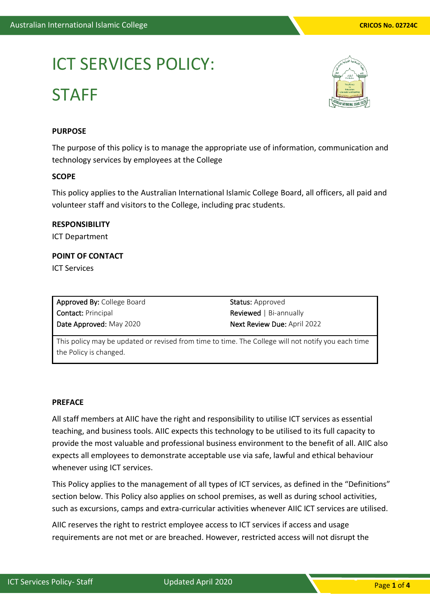# ICT SERVICES POLICY: **STAFF**



## **PURPOSE**

The purpose of this policy is to manage the appropriate use of information, communication and technology services by employees at the College

#### **SCOPE**

This policy applies to the Australian International Islamic College Board, all officers, all paid and volunteer staff and visitors to the College, including prac students.

#### **RESPONSIBILITY**

ICT Department

# **POINT OF CONTACT**

ICT Services

Approved By: College Board Contact: Principal Date Approved: May 2020

Status: Approved Reviewed | Bi-annually Next Review Due: April 2022

This policy may be updated or revised from time to time. The College will not notify you each time the Policy is changed.

## **PREFACE**

All staff members at AIIC have the right and responsibility to utilise ICT services as essential teaching, and business tools. AIIC expects this technology to be utilised to its full capacity to provide the most valuable and professional business environment to the benefit of all. AIIC also expects all employees to demonstrate acceptable use via safe, lawful and ethical behaviour whenever using ICT services.

This Policy applies to the management of all types of ICT services, as defined in the "Definitions" section below. This Policy also applies on school premises, as well as during school activities, such as excursions, camps and extra-curricular activities whenever AIIC ICT services are utilised.

AIIC reserves the right to restrict employee access to ICT services if access and usage requirements are not met or are breached. However, restricted access will not disrupt the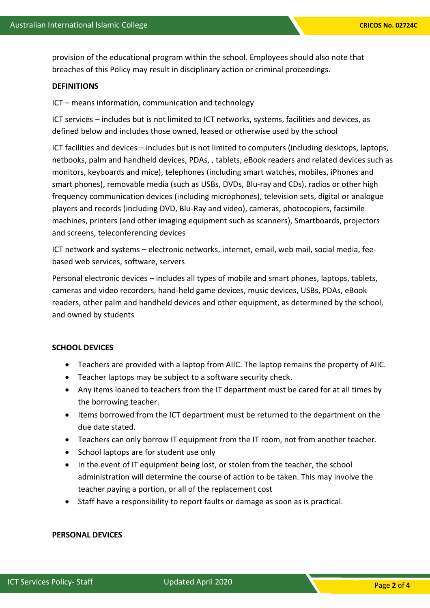provision of the educational program within the school. Employees should also note that breaches of this Policy may result in disciplinary action or criminal proceedings.

### **DEFINITIONS**

ICT – means information, communication and technology

ICT services – includes but is not limited to ICT networks, systems, facilities and devices, as defined below and includes those owned, leased or otherwise used by the school

ICT facilities and devices – includes but is not limited to computers (including desktops, laptops, netbooks, palm and handheld devices, PDAs, , tablets, eBook readers and related devices such as monitors, keyboards and mice), telephones (including smart watches, mobiles, iPhones and smart phones), removable media (such as USBs, DVDs, Blu-ray and CDs), radios or other high frequency communication devices (including microphones), television sets, digital or analogue players and records (including DVD, Blu-Ray and video), cameras, photocopiers, facsimile machines, printers (and other imaging equipment such as scanners), Smartboards, projectors and screens, teleconferencing devices

ICT network and systems – electronic networks, internet, email, web mail, social media, feebased web services, software, servers

Personal electronic devices – includes all types of mobile and smart phones, laptops, tablets, cameras and video recorders, hand-held game devices, music devices, USBs, PDAs, eBook readers, other palm and handheld devices and other equipment, as determined by the school, and owned by students

# **SCHOOL DEVICES**

- Teachers are provided with a laptop from AIIC. The laptop remains the property of AIIC.
- Teacher laptops may be subject to a software security check.
- Any items loaned to teachers from the IT department must be cared for at all times by the borrowing teacher.
- Items borrowed from the ICT department must be returned to the department on the due date stated.
- Teachers can only borrow IT equipment from the IT room, not from another teacher.
- School laptops are for student use only
- In the event of IT equipment being lost, or stolen from the teacher, the school administration will determine the course of action to be taken. This may involve the teacher paying a portion, or all of the replacement cost
- Staff have a responsibility to report faults or damage as soon as is practical.

#### **PERSONAL DEVICES**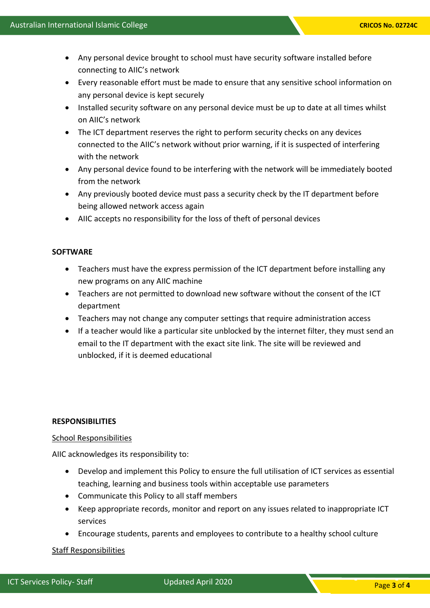- Any personal device brought to school must have security software installed before connecting to AIIC's network
- Every reasonable effort must be made to ensure that any sensitive school information on any personal device is kept securely
- Installed security software on any personal device must be up to date at all times whilst on AIIC's network
- The ICT department reserves the right to perform security checks on any devices connected to the AIIC's network without prior warning, if it is suspected of interfering with the network
- Any personal device found to be interfering with the network will be immediately booted from the network
- Any previously booted device must pass a security check by the IT department before being allowed network access again
- AIIC accepts no responsibility for the loss of theft of personal devices

# **SOFTWARE**

- Teachers must have the express permission of the ICT department before installing any new programs on any AIIC machine
- Teachers are not permitted to download new software without the consent of the ICT department
- Teachers may not change any computer settings that require administration access
- If a teacher would like a particular site unblocked by the internet filter, they must send an email to the IT department with the exact site link. The site will be reviewed and unblocked, if it is deemed educational

# **RESPONSIBILITIES**

# School Responsibilities

AIIC acknowledges its responsibility to:

- Develop and implement this Policy to ensure the full utilisation of ICT services as essential teaching, learning and business tools within acceptable use parameters
- Communicate this Policy to all staff members
- Keep appropriate records, monitor and report on any issues related to inappropriate ICT services
- Encourage students, parents and employees to contribute to a healthy school culture

# Staff Responsibilities